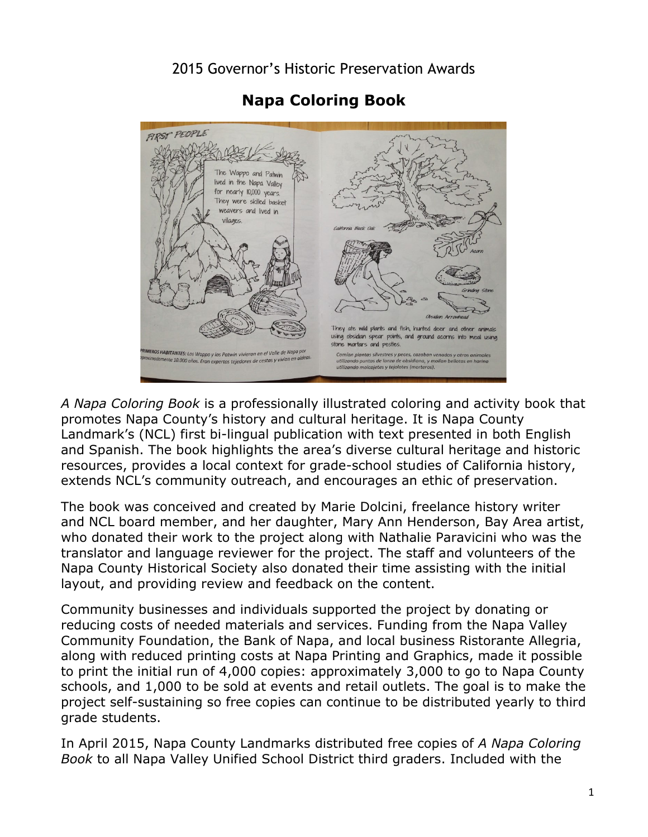2015 Governor's Historic Preservation Awards



 **Napa Coloring Book** 

*A Napa Coloring Book* is a professionally illustrated coloring and activity book that promotes Napa County's history and cultural heritage. It is Napa County Landmark's (NCL) first bi-lingual publication with text presented in both English and Spanish. The book highlights the area's diverse cultural heritage and historic resources, provides a local context for grade-school studies of California history, extends NCL's community outreach, and encourages an ethic of preservation.

The book was conceived and created by Marie Dolcini, freelance history writer and NCL board member, and her daughter, Mary Ann Henderson, Bay Area artist, who donated their work to the project along with Nathalie Paravicini who was the translator and language reviewer for the project. The staff and volunteers of the Napa County Historical Society also donated their time assisting with the initial layout, and providing review and feedback on the content.

 project self-sustaining so free copies can continue to be distributed yearly to third Community businesses and individuals supported the project by donating or reducing costs of needed materials and services. Funding from the Napa Valley Community Foundation, the Bank of Napa, and local business Ristorante Allegria, along with reduced printing costs at Napa Printing and Graphics, made it possible to print the initial run of 4,000 copies: approximately 3,000 to go to Napa County schools, and 1,000 to be sold at events and retail outlets. The goal is to make the grade students.

In April 2015, Napa County Landmarks distributed free copies of *A Napa Coloring Book* to all Napa Valley Unified School District third graders. Included with the